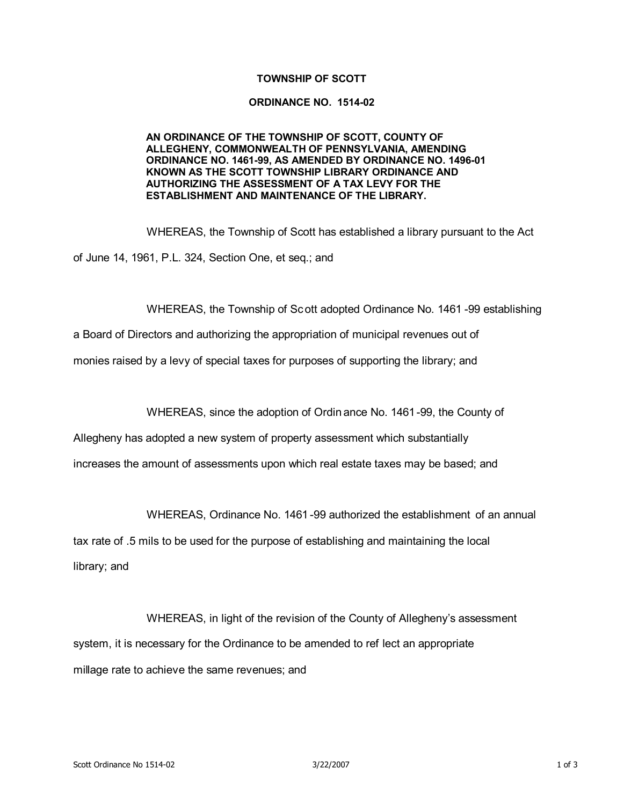## **TOWNSHIP OF SCOTT**

## **ORDINANCE NO. 1514-02**

## **AN ORDINANCE OF THE TOWNSHIP OF SCOTT, COUNTY OF ALLEGHENY, COMMONWEALTH OF PENNSYLVANIA, AMENDING ORDINANCE NO. 1461-99, AS AMENDED BY ORDINANCE NO. 1496-01 KNOWN AS THE SCOTT TOWNSHIP LIBRARY ORDINANCE AND AUTHORIZING THE ASSESSMENT OF A TAX LEVY FOR THE ESTABLISHMENT AND MAINTENANCE OF THE LIBRARY.**

WHEREAS, the Township of Scott has established a library pursuant to the Act of June 14, 1961, P.L. 324, Section One, et seq.; and

WHEREAS, the Township of Scott adopted Ordinance No. 1461 -99 establishing

a Board of Directors and authorizing the appropriation of municipal revenues out of

monies raised by a levy of special taxes for purposes of supporting the library; and

WHEREAS, since the adoption of Ordin ance No. 1461-99, the County of

Allegheny has adopted a new system of property assessment which substantially

increases the amount of assessments upon which real estate taxes may be based; and

WHEREAS, Ordinance No. 1461 -99 authorized the establishment of an annual

tax rate of .5 mils to be used for the purpose of establishing and maintaining the local library; and

WHEREAS, in light of the revision of the County of Allegheny's assessment system, it is necessary for the Ordinance to be amended to ref lect an appropriate millage rate to achieve the same revenues; and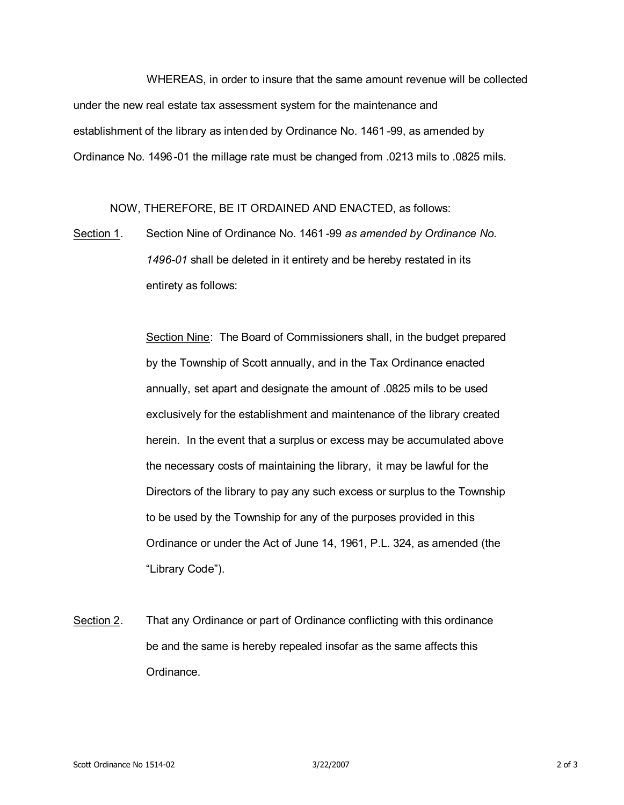WHEREAS, in order to insure that the same amount revenue will be collected under the new real estate tax assessment system for the maintenance and establishment of the library as intended by Ordinance No. 1461 -99, as amended by Ordinance No. 1496-01 the millage rate must be changed from .0213 mils to .0825 mils.

NOW, THEREFORE, BE IT ORDAINED AND ENACTED, as follows:

Section 1. Section Nine of Ordinance No. 1461 -99 *as amended by Ordinance No. 1496-01* shall be deleted in it entirety and be hereby restated in its entirety as follows:

> Section Nine: The Board of Commissioners shall, in the budget prepared by the Township of Scott annually, and in the Tax Ordinance enacted annually, set apart and designate the amount of .0825 mils to be used exclusively for the establishment and maintenance of the library created herein. In the event that a surplus or excess may be accumulated above the necessary costs of maintaining the library, it may be lawful for the Directors of the library to pay any such excess or surplus to the Township to be used by the Township for any of the purposes provided in this Ordinance or under the Act of June 14, 1961, P.L. 324, as amended (the "Library Code").

Section 2. That any Ordinance or part of Ordinance conflicting with this ordinance be and the same is hereby repealed insofar as the same affects this Ordinance.